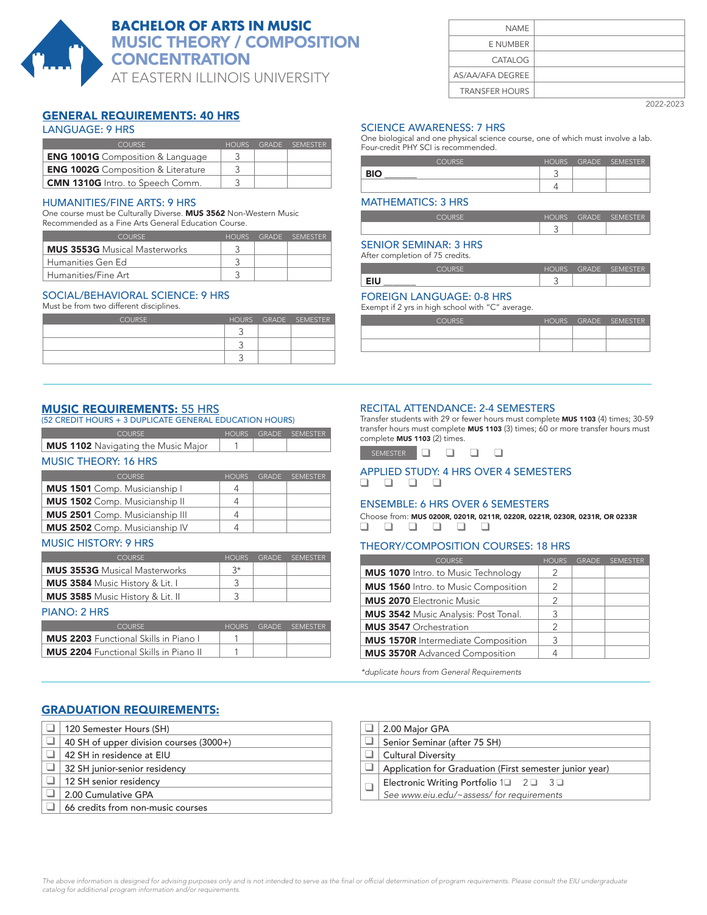

# **BACHELOR OF ARTS IN MUSIC** MUSIC THEORY / COMPOSITION **CONCENTRATION**

AT EASTERN ILLINOIS UNIVERSITY

# GENERAL REQUIREMENTS: 40 HRS

# LANGUAGE: 9 HRS

| COLIRSE.                                  | HOURS | GRADE SEMESTER |
|-------------------------------------------|-------|----------------|
| <b>ENG 1001G</b> Composition & Language   |       |                |
| <b>ENG 1002G</b> Composition & Literature |       |                |
| <b>CMN 1310G</b> Intro. to Speech Comm.   |       |                |

#### HUMANITIES/FINE ARTS: 9 HRS

One course must be Culturally Diverse. MUS 3562 Non-Western Music Recommended as a Fine Arts General Education Course.

| COURSE.                              | HOURS. | GRADE SEMESTER |
|--------------------------------------|--------|----------------|
| <b>MUS 3553G</b> Musical Masterworks |        |                |
| Humanities Gen Ed                    |        |                |
| Humanities/Fine Art                  |        |                |

# SOCIAL/BEHAVIORAL SCIENCE: 9 HRS

Must be from two different disciplines.

| <b>COURSE</b> |  | HOURS GRADE SEMESTER |
|---------------|--|----------------------|
|               |  |                      |
|               |  |                      |
|               |  |                      |

# MUSIC REQUIREMENTS: 55 HRS

| (52 CREDIT HOURS + 3 DUPLICATE GENERAL EDUCATION HOURS) |  |  |  |  |  |
|---------------------------------------------------------|--|--|--|--|--|
| HOURS GRADE SEMESTER<br>COURSE.                         |  |  |  |  |  |
| <b>MUS 1102</b> Navigating the Music Major              |  |  |  |  |  |

#### MUSIC THEORY: 16 HRS

| <b>COURSE</b>                          | <b>HOURS</b> | <b>GRADE</b> | <b>SEMESTER</b> |
|----------------------------------------|--------------|--------------|-----------------|
| MUS 1501 Comp. Musicianship I          | 4            |              |                 |
| <b>MUS 1502</b> Comp. Musicianship II  | 4            |              |                 |
| <b>MUS 2501</b> Comp. Musicianship III | 4            |              |                 |
| <b>MUS 2502</b> Comp. Musicianship IV  | Δ            |              |                 |

### MUSIC HISTORY: 9 HRS

| COURSE.                                 | HOURS | GRADE SEMESTER |
|-----------------------------------------|-------|----------------|
| <b>MUS 3553G</b> Musical Masterworks    | $3*$  |                |
| <b>MUS 3584</b> Music History & Lit. I  |       |                |
| <b>MUS 3585</b> Music History & Lit. II |       |                |

#### PIANO: 2 HRS

| COURSE.                                       | HOURS | <b>GRADE</b> | SEMESTER |
|-----------------------------------------------|-------|--------------|----------|
| <b>MUS 2203</b> Functional Skills in Piano L  |       |              |          |
| <b>MUS 2204</b> Functional Skills in Piano II |       |              |          |

# GRADUATION REQUIREMENTS:

| 120 Semester Hours (SH)                 |
|-----------------------------------------|
| 40 SH of upper division courses (3000+) |
| 42 SH in residence at EIU               |
| 32 SH junior-senior residency           |
| 12 SH senior residency                  |
| 2.00 Cumulative GPA                     |
| 66 credits from non-music courses       |

| <b>NAME</b>           |  |
|-----------------------|--|
| E NUMBER              |  |
| CATALOG               |  |
| AS/AA/AFA DEGREE      |  |
| <b>TRANSFER HOURS</b> |  |

2022-2023

# SCIENCE AWARENESS: 7 HRS

One biological and one physical science course, one of which must involve a lab. Four-credit PHY SCI is recommended.

| <b>COLIBSE</b> | HOURS  | <b>GRADE</b> | SEMESTER |
|----------------|--------|--------------|----------|
| <b>DIO</b>     | ⌒<br>◡ |              |          |
|                |        |              |          |

# MATHEMATICS: 3 HRS

| .er    | GRADE<br>_ | $C = M C T C T C$ |
|--------|------------|-------------------|
| ⌒<br>◡ |            |                   |

# SENIOR SEMINAR: 3 HRS

After completion of 75 credits.

| COLIDEE    | HUI IBC | GRADE<br>_ | <b>SEMESTER</b> |
|------------|---------|------------|-----------------|
| EILL<br>-- | ∽<br>٠. |            |                 |

# FOREIGN LANGUAGE: 0-8 HRS

Exempt if 2 yrs in high school with "C" average.

| <b>COURSE</b> |  | HOURS GRADE SEMESTER |
|---------------|--|----------------------|
|               |  |                      |
|               |  |                      |
|               |  |                      |

#### RECITAL ATTENDANCE: 2-4 SEMESTERS

Transfer students with 29 or fewer hours must complete MUS 1103 (4) times; 30-59 transfer hours must complete MUS 1103 (3) times; 60 or more transfer hours must complete MUS 1103 (2) times.

| _____ |  |  |
|-------|--|--|
|       |  |  |

#### APPLIED STUDY: 4 HRS OVER 4 SEMESTERS q q q q

# ENSEMBLE: 6 HRS OVER 6 SEMESTERS

Choose from: MUS 0200R, 0201R, 0211R, 0220R, 0221R, 0230R, 0231R, OR 0233R q q q q q q

# THEORY/COMPOSITION COURSES: 18 HRS

| <b>COURSE</b>                               | <b>HOURS</b>   | <b>GRADE</b> | <b>SEMESTER</b> |
|---------------------------------------------|----------------|--------------|-----------------|
| <b>MUS 1070</b> Intro. to Music Technology  | 2              |              |                 |
| <b>MUS 1560</b> Intro. to Music Composition | 2              |              |                 |
| <b>MUS 2070 Electronic Music</b>            | 2              |              |                 |
| <b>MUS 3542</b> Music Analysis: Post Tonal. | 3              |              |                 |
| <b>MUS 3547</b> Orchestration               | $\mathfrak{D}$ |              |                 |
| <b>MUS 1570R</b> Intermediate Composition   | 3              |              |                 |
| <b>MUS 3570R</b> Advanced Composition       |                |              |                 |

\*duplicate hours from General Requirements

| 2.00 Major GPA                                                                                    |
|---------------------------------------------------------------------------------------------------|
| Senior Seminar (after 75 SH)                                                                      |
| <b>Cultural Diversity</b>                                                                         |
| Application for Graduation (First semester junior year)                                           |
| Electronic Writing Portfolio $1\Box$ $2\Box$ $3\Box$<br>See www.eiu.edu/~assess/ for requirements |
|                                                                                                   |